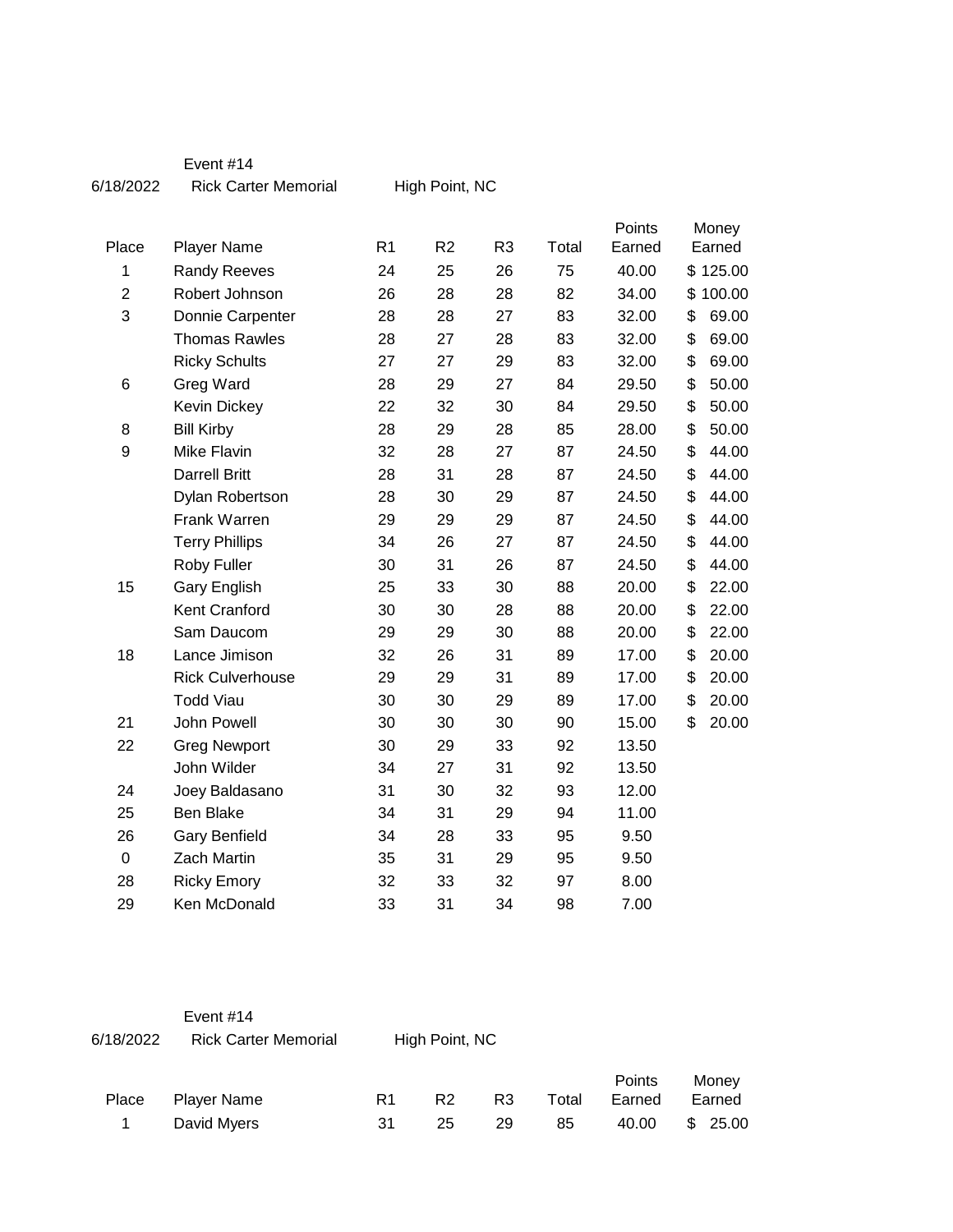| Event #14 |
|-----------|
|-----------|

| 6/18/2022 | <b>Rick Carter Memorial</b> | High Point, NC |  |
|-----------|-----------------------------|----------------|--|
|           |                             |                |  |

|                  |                         |                |                |                |       | Points |        | Money    |
|------------------|-------------------------|----------------|----------------|----------------|-------|--------|--------|----------|
| Place            | <b>Player Name</b>      | R <sub>1</sub> | R <sub>2</sub> | R <sub>3</sub> | Total | Earned | Earned |          |
| 1                | <b>Randy Reeves</b>     | 24             | 25             | 26             | 75    | 40.00  |        | \$125.00 |
| $\overline{2}$   | Robert Johnson          | 26             | 28             | 28             | 82    | 34.00  |        | \$100.00 |
| 3                | Donnie Carpenter        | 28             | 28             | 27             | 83    | 32.00  | \$     | 69.00    |
|                  | <b>Thomas Rawles</b>    | 28             | 27             | 28             | 83    | 32.00  | \$     | 69.00    |
|                  | <b>Ricky Schults</b>    | 27             | 27             | 29             | 83    | 32.00  | \$     | 69.00    |
| 6                | Greg Ward               | 28             | 29             | 27             | 84    | 29.50  | \$     | 50.00    |
|                  | Kevin Dickey            | 22             | 32             | 30             | 84    | 29.50  | \$     | 50.00    |
| 8                | <b>Bill Kirby</b>       | 28             | 29             | 28             | 85    | 28.00  | \$     | 50.00    |
| 9                | Mike Flavin             | 32             | 28             | 27             | 87    | 24.50  | \$     | 44.00    |
|                  | <b>Darrell Britt</b>    | 28             | 31             | 28             | 87    | 24.50  | \$     | 44.00    |
|                  | Dylan Robertson         | 28             | 30             | 29             | 87    | 24.50  | \$     | 44.00    |
|                  | Frank Warren            | 29             | 29             | 29             | 87    | 24.50  | \$     | 44.00    |
|                  | <b>Terry Phillips</b>   | 34             | 26             | 27             | 87    | 24.50  | \$     | 44.00    |
|                  | Roby Fuller             | 30             | 31             | 26             | 87    | 24.50  | \$     | 44.00    |
| 15               | Gary English            | 25             | 33             | 30             | 88    | 20.00  | \$     | 22.00    |
|                  | Kent Cranford           | 30             | 30             | 28             | 88    | 20.00  | \$     | 22.00    |
|                  | Sam Daucom              | 29             | 29             | 30             | 88    | 20.00  | \$     | 22.00    |
| 18               | Lance Jimison           | 32             | 26             | 31             | 89    | 17.00  | \$     | 20.00    |
|                  | <b>Rick Culverhouse</b> | 29             | 29             | 31             | 89    | 17.00  | \$     | 20.00    |
|                  | <b>Todd Viau</b>        | 30             | 30             | 29             | 89    | 17.00  | \$     | 20.00    |
| 21               | John Powell             | 30             | 30             | 30             | 90    | 15.00  | \$     | 20.00    |
| 22               | <b>Greg Newport</b>     | 30             | 29             | 33             | 92    | 13.50  |        |          |
|                  | John Wilder             | 34             | 27             | 31             | 92    | 13.50  |        |          |
| 24               | Joey Baldasano          | 31             | 30             | 32             | 93    | 12.00  |        |          |
| 25               | Ben Blake               | 34             | 31             | 29             | 94    | 11.00  |        |          |
| 26               | <b>Gary Benfield</b>    | 34             | 28             | 33             | 95    | 9.50   |        |          |
| $\boldsymbol{0}$ | Zach Martin             | 35             | 31             | 29             | 95    | 9.50   |        |          |
| 28               | <b>Ricky Emory</b>      | 32             | 33             | 32             | 97    | 8.00   |        |          |
| 29               | Ken McDonald            | 33             | 31             | 34             | 98    | 7.00   |        |          |

| 6/18/2022 | Event $#14$<br><b>Rick Carter Memorial</b> |    | High Point, NC |    |       |                  |                 |
|-----------|--------------------------------------------|----|----------------|----|-------|------------------|-----------------|
| Place     | <b>Player Name</b>                         | R1 | R2             | R3 | Total | Points<br>Earned | Money<br>Earned |

1 David Myers 31 25 29 85 40.00 \$ 25.00